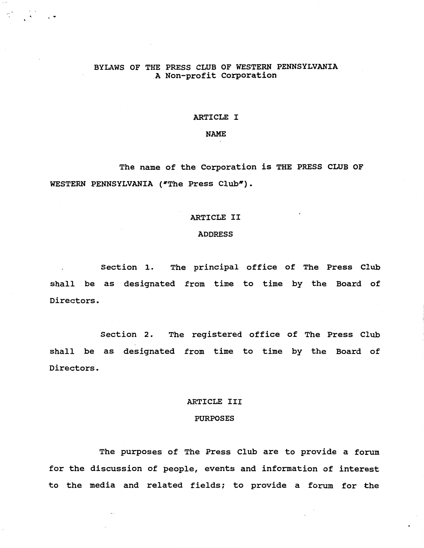# BYLAWS OF THE PRESS CLUB OF WESTERN PENNSYLVANIA A Non-profit corporation

# ARTICLE I

### NAME

The name of the corporation is THE PRESS CLUB OF WESTERN PENNSYLVANIA ("The Press Club").

# ARTICLE II

## ADDRESS

section 1. The principal office of The. Press Club shall be as designated from time to time by the Board of Directors.

Section 2. The registered office of The Press Club shall be as designated from time to time by the Board of Directors.

# ARTICLE III

# PURPOSES

The purposes of The Press Club are to provide a forum for the discussion of people, events and information of interest to the media and related fields; to provide a forum for the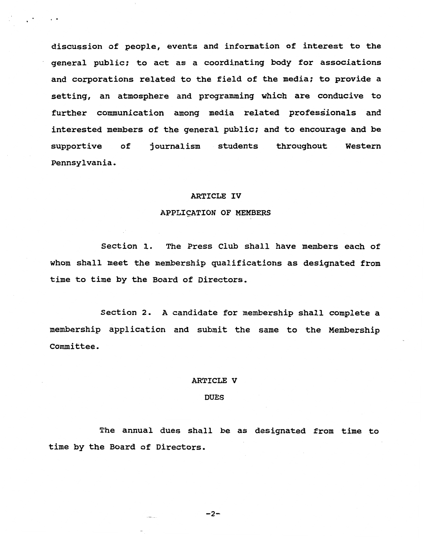discussion of people, events and information of interest to the general public; to act as a coordinating body for associations and corporations related to the field of the media; to provide a setting, an atmosphere and programming which are conducive to further communication among media related professionals and interested members of the general public; and to encourage and be supportive of journalism students throughout Western Pennsylvania.

, .

#### ARTICLE IV

#### APPLICATION OF MEMBERS

section 1. The Press Club shall have members each of whom shall meet the membership qualifications as designated from time to time by the Board of Directors.

Section 2. A candidate for membership shall complete a membership application and submit the same to the Membership committee.

#### ARTICLE V

#### DUES

The. annual dues shall be as designated from time to time by the Board of Directors.

### $-2-$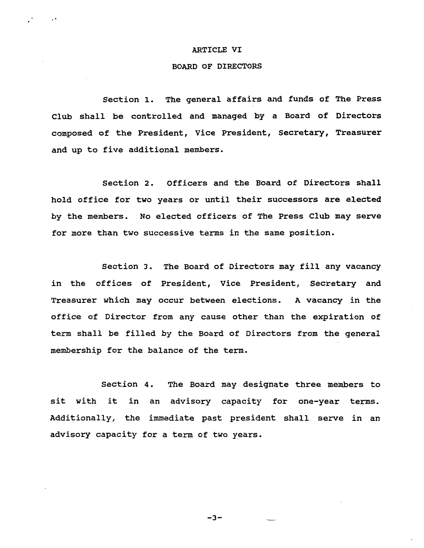### ARTICLE VI

·.

## BOARD OF DIRECTORS

section 1. The general affairs and funds of The Press Club shall be controlled and managed by a Board of Directors composed of the President, Vice President, Secretary, Treasurer and up to five additional members.

section 2. Officers and the Board of Directors shall hold office for two years or until their successors are elected by the members. No elected officers of The Press Club may serve for more than two successive terms in the same position.

section 3. The Board of Directors may fill any vacancy in the offices of President, Vice President, Secretary and Treasurer which may occur between elections. A vacancy in the office of Director from any cause other than the expiration of term shall be filled by the Board of Directors from the general membership for the balance of the term.

section 4. The Board may designate three members to sit with it in an advisory capacity for one-year terms. Additionally, the immediate past president shall serve in an advisory capacity for a term of two years.

 $-3-$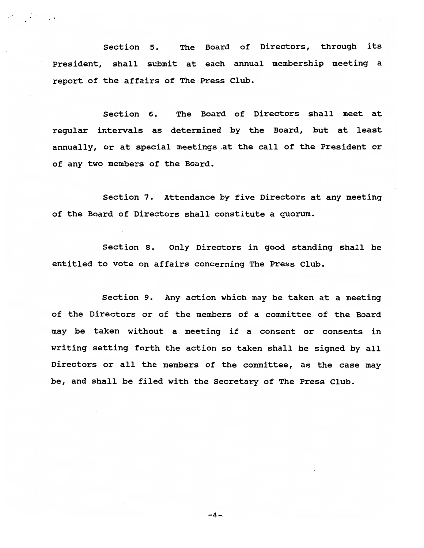section 5. The Board of Directors, through its President, shall submit at each annual membership meeting a report' of the affairs of The Press Club.

section 6. The Board of Directors shall meet at regular intervals as determined by the Board, but at least annually, or at special meetings at the call of the President or of any two members of the Board.

section 7. Attendance by five Directors at any meeting of the Board of Directors shall constitute a quorum.

section 8. Only Directors in good standing shall be entitled to vote on affairs concerning The Press Club.

section 9. Any action which may be taken at a meeting of the Directors or of the members of a committee of the Board may be taken without a meeting if a consent or consents in writing setting forth the action so taken shall be signed by all Directors or all the members of the committee, as the case may be, and shall be filed with the Secretary of The Press Club.

 $-4-$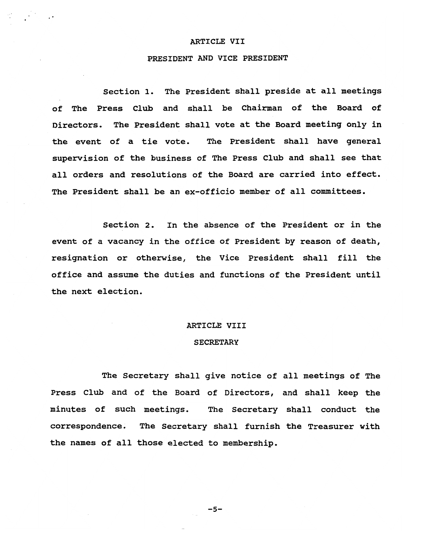### ARTICLE VII

# PRESIDENT AND VICE PRESIDENT

section 1. The President shall preside at all meetings of The Press Club and shall be Chairman of the Board of Directors. The President shall vote at the Board meeting only in the event of a tie vote. The President shall have general supervision of the business of The Press Club and shall see that all orders and resolutions of the Board are carried into effect. The President shall be an ex-officio member of all committees.

section 2. In the absence of the President or in the event of a vacancy in the office of President by reason of death, resignation or otherwise, the Vice President shall fill the office and assume the duties and functions of the President until the next election.

### ARTICLE VIII

## **SECRETARY**

The Secretary shall give notice of all meetings of The Press Club and of the Board of Directors, and shall keep the minutes of such meetings. The Secretary shall conduct the correspondence. The Secretary shall furnish the Treasurer with the names of all those elected to membership.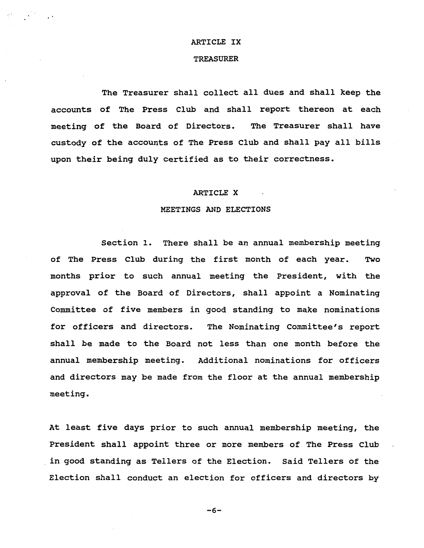## ARTICLE IX

## TREASURER

The Treasurer shall collect all dues and shall keep the accounts of The Press Club and shall report thereon at each meeting of the Board of Directors. The Treasurer shall have custody of the accounts of The Press Club and shall pay all bills upon their being duly certified as to their correctness.

#### ARTICLE X

### MEETINGS AND ELECTIONS

section 1. There shall be an annual membership meeting of The Press Club during the first month of each year. Two months prior to such annual meeting the President, with the approval of the Board of Directors, shall appoint a Nominating Committee of five members in good standing to make nominations for officers and directors. The Nominating Committee's report shall be made to the Board not less than one month before the annual membership meeting. Additional nominations for officers and directors may be made from the floor at the annual membership meeting.

At least five days prior to such annual membership meeting, the President shall appoint three or more members of The Press Club in good standing as Tellers of the Election. Said Tellers of the Election shall conduct an election for officers and directors by

 $-6-$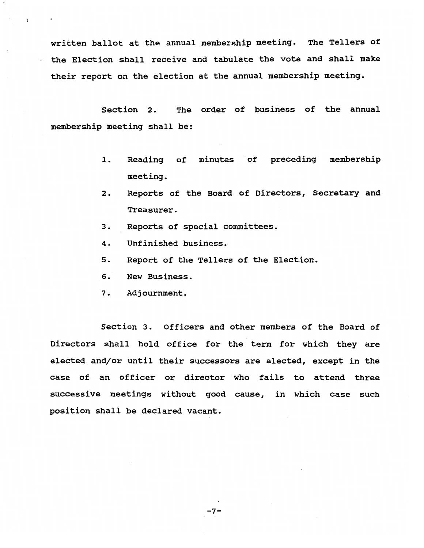written ballot at the annual membership meeting. The Tellers of the Election shall receive and tabulate the vote and shall make their report on the election at the annual membership meeting.

Section 2. The order of business of the annual membership meeting shall be:

- 1. Reading of minutes of preceding membership meeting.
- 2. Reports of the Board of Directors, Secretary and Treasurer.
- 3. Reports of special committees.
- 4. Unfinished business.
- 5. Report of the Tellers of the Election.
- 6. New Business.
- 7. Adjournment.

section 3. Officers and other members of the Board of Directors shall hold office for the term for which they are elected and/or until their successors are elected, except in the case of an officer or director who fails to attend three successive meetings without good cause, in which case such position shall be declared vacant.

 $-7-$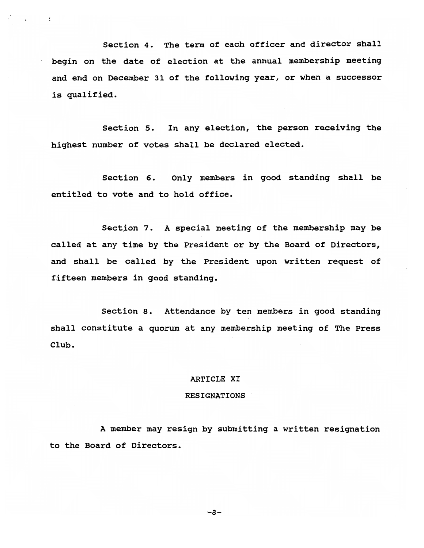Section 4. The term of each officer and director shall begin on the date of election at the annual membership meeting and end on December 31 of the following year, or when a successor is qualified.

section 5. In any election, the person receiving the highest number of votes shall be declared elected.

section 6. Only members in good standing shall be entitled to vote and to hold office.

Section 7. A special meeting of the membership may be called at any time by the President or by the Board of Directors, and shall be called by the President upon written request of fifteen members in good standing.

section 8. Attendance by ten members in good standing shall constitute a quorum at any membership meeting of The Press Club.

## ARTICLE XI

## RESIGNATIONS

A member may resign by submitting a written resignation to the Board of Directors.

 $-8-$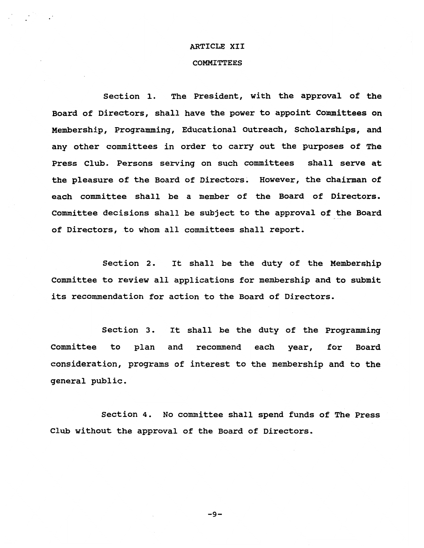## ARTICLE XII

## **COMMITTEES**

section 1. The President, with the approval of the Board of Directors, shall have the power to appoint committees on Membership, Programming, Educational Outreach, Scholarships, and any other committees in order to carry out the purposes of The Press Club. Persons serving on such committees shall serve at the pleasure of the Board of Directors. However, the chairman of each committee shall be a member of the Board of Directors. Committee decisions shall be SUbject to the approval of the Board of Directors, to whom all committees shall report.

Section 2. It shall be the duty of the Membership Committee to review all applications for membership and to submit its recommendation for action to the Board of Directors.

section 3. It shall be the duty of the Programming Committee to plan and recommend each year, for Board consideration, programs of interest to the membership and to the general public.

section 4. No committee shall spend funds of The Press Club without the approval of the Board of Directors.

 $-9-$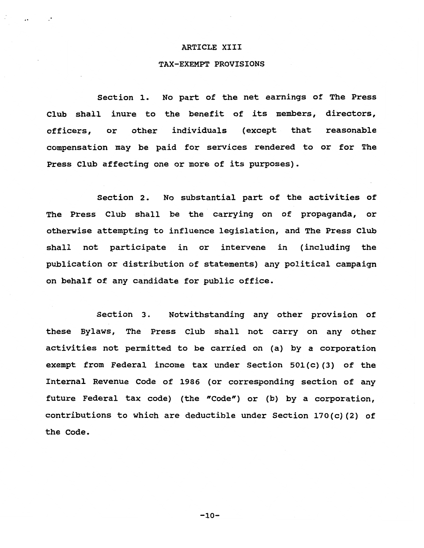## ARTICLE XIII

#### TAX-EXEMPT PROVISIONS

section 1. No part of the net earnings of The Press Club shall inure to the benefit of its members, directors, officers, or other individuals (except that reasonable compensation may be paid for services rendered to or for The Press Club affecting one or more of its purposes).

section 2. No substantial part of the activities of The Press Club shall be the carrying on of propaganda, or otherwise attempting to influence legislation, and The Press Club shall not participate in or intervene in (including the publication or distribution of statements) any political campaign on behalf of any candidate for public office.

section 3. Notwithstanding any other provision of these Bylaws, The Press Club shall not carry on any other activities not permitted to be carried on (a) by a corporation exempt from Federal income tax under Section 501(c)(3) of the Internal Revenue Code of 1986 (or corresponding section of any future Federal tax code) (the "Code") or (b) by a corporation, contributions to which are deductible under Section 170(c) (2) of the Code.

 $-10-$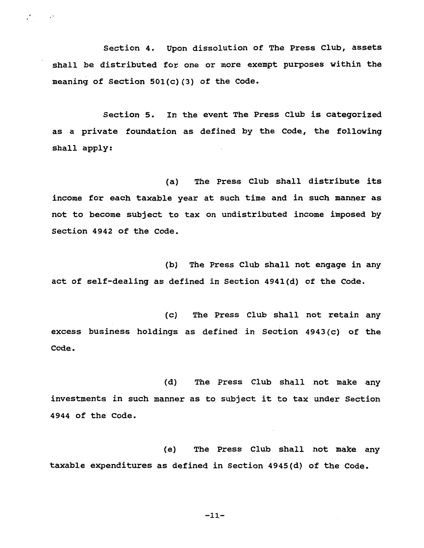section 4. Upon dissolution of The Press Club, assets shall be distributed for one or more exempt purposes within the meaning of section 501(c) (3) of the Code.

section 5. In the event The Press Club is categorized as a private foundation as defined by the Code, the following shall apply:

(a) The Press Club shall distribute its income for each taxable year at such time and in such manner as not to become subject to tax on undistributed income imposed by section 4942 of the Code.

(b) The Press Club shall not engage in any act of self-dealing as defined in Section 4941(d) of the Code.

(c) The Press Club shall not retain any: excess business holdings as defined in Section  $4943(c)$  of the  $\texttt{Code:}$ 

(d) The Press Club shall not make any investments in such manner as to subject it to tax under Section 4944 of the Code. <sup>I</sup>

(e) The Press Club. shall not make any: taxable expenditures as defined in Section 4945(d) of the Code.

 $-11-$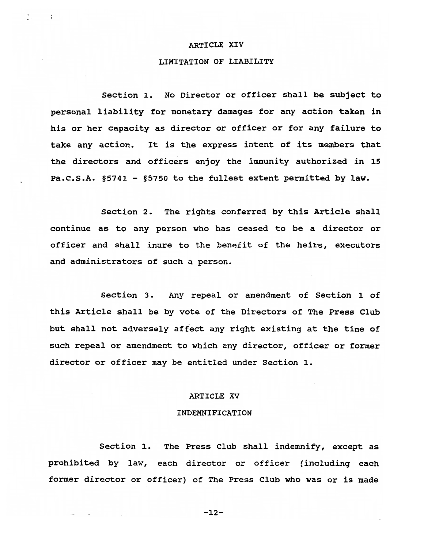#### ARTICLE XIV

· .

# LIMITATION OF LIABILITY

section 1. No Director or officer shall be subject to personal liability for monetary damages for any action taken in his or her capacity as director or officer or for any failure to take any action. It is the express intent of its members that the directors and officers enjoy the immunity authorized in 15 Pa.C.S.A. §5741 - §5750 to the fullest extent permitted by law.

section 2. The rights conferred by this Article shall continue as to any person who has ceased to be a director or officer and shall inure to the benefit of the heirs, executors and administrators of such a person.

section 3. Any repeal or amendment of section 1 of this Article shall be by vote of the Directors of The Press Club but shall not adversely affect any right existing at the time of such repeal or amendment to which any director, officer or former director or officer may be entitled under section 1.

# ARTICLE XV

### INDEMNIFICATION

section 1. The Press Club shall indemnify, except as prohibited by law, each director or officer (including each former director or officer) of The Press Club who was or is made

 $-12-$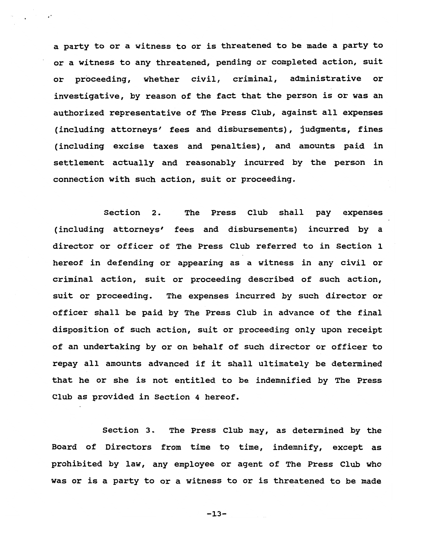a party to or a witness to or is threatened to be made a party to or a witness to any threatened, pending or completed action, suit or proceeding, whether civil, criminal, administrative or investigative, by reason of the fact that the person is or was an authorized representative of The Press Club, against all expenses (including attorneys' fees and disbursements), judgments, fines (including excise taxes and penalties), and amounts paid in settlement actually and reasonably incurred by the person in connection with such action, suit or proceeding.

section 2. The Press Club shall pay expenses (including attorneys' fees and disbursements) incurred by a director or officer of The Press Club referred to in section 1 hereof in defending or appearing as a witness in any civil or criminal action, suit or proceeding described of such action, suit or proceeding. The expenses incurred by such director or officer shall be paid by The Press Club in advance of the final disposition of such action, suit or proceeding only upon receipt of an undertaking by or on behalf of such director or officer to repay all amounts advanced if it shall Ultimately be determined that he or she is not entitled to be indemnified by The Press Club as provided in Section 4 hereof.

section 3. The Press Club may, as determined by the Board of Directors from time to time, indemnify, except as prohibited by law, any employee or agent of The Press Club who was or is a party to or a witness to or is threatened to be made

 $-13-$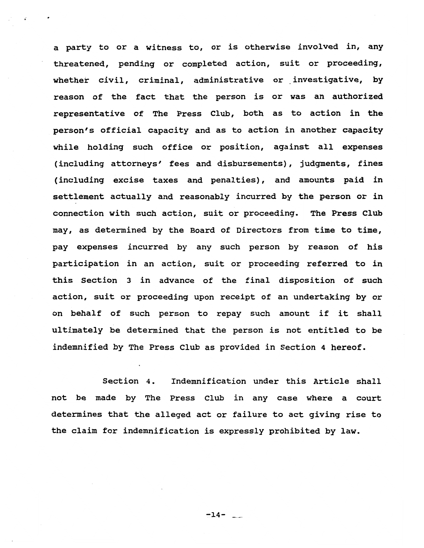a party to or a witness to, or is otherwise involved in, any threatened, pending or completed action, suit or proceeding, whether civil, criminal, administrative or investigative, by reason of the fact that the person is or was an authorized representative of The Press Club, both as to action in the person's official capacity and as to action in another capacity while holding such office or position, against all expenses (including attorneys' fees and disbursements), judgments, fines (including excise taxes and penalties), and amounts paid in settlement actually and reasonably incurred by the person or in connection with such action, suit or proceeding. The Press Club may, as determined by the Board of Directors from time to time, pay expenses incurred by any such person by reason of his participation in an action, suit or proceeding referred to in this section 3 in advance of the final disposition of such action, suit or proceeding upon receipt of an undertaking by or on behalf of such person to repay such amount if it shall ultimately be determined that the person is not entitled to be indemnified by The Press Club as provided in Section 4 hereof.

section 4. Indemnification under this Article shall not be made by The Press Club in any case where a court determines that the alleged act or failure to act giving rise to the claim for indemnification is expressly prohibited by law.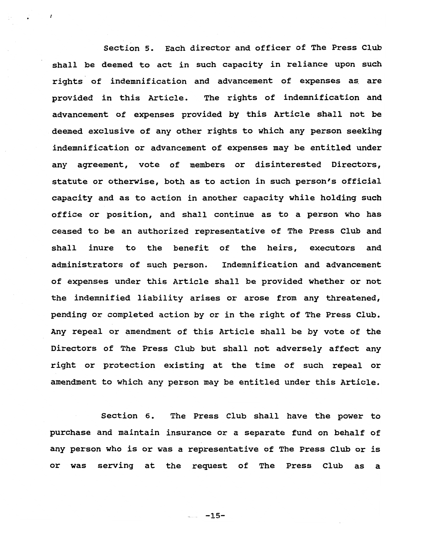section 5. Each director and officer of The Press Club shall be deemed to act in such capacity in reliance upon such rights of indemnification and advancement of expenses as. are provided in this Article. The rights of indemnification and advancement of expenses provided by this Article shall not be deemed exclusive of any other rights to which any person seeking indemnification or advancement of expenses may be entitled under any agreement, vote of members or disinterested Directors, statute or otherwise, both as to action in such person's official capacity and as to action in another capacity while holding such office or position, and shall continue as to a person who has ceased to be an authorized representative of The Press Club and shall inure to the benefit of the heirs, executors and administrators of such person. Indemnification and advancement of expenses under this Article shall be provided whether or not the indemnified liability arises or arose from any threatened, pending or completed action by or in the right of The Press Club. Any repeal or amendment of this Article shall be by vote of the Directors of The Press Club but shall not adversely affect any right or protection existing at the time of such repeal or amendment to which any person may be entitled under this Article.

section 6. The Press Club shall have the power to purchase and maintain insurance or a separate fund on behalf of any person who is or was a representative of The Press Club or is or was serving at the request of The Press Club as a

 $-15-$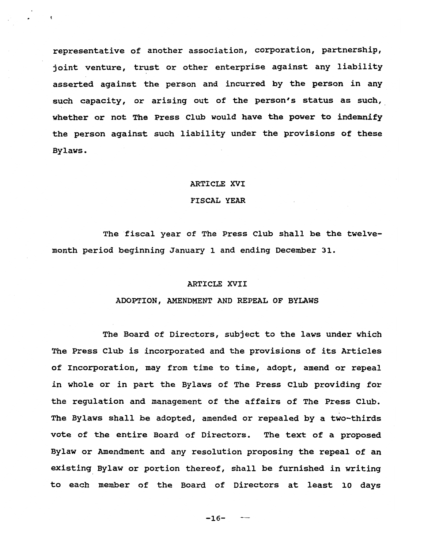representative of another association, corporation, partnership, joint venture, trust or other enterprise against any liability asserted against the person and incurred by the person in any such capacity, or arising out of the person's status as such, whether or not The Press Club would have the power to indemnify the person against such liability under the provisions of these Bylaws.

### ARTICLE XVI

### FISCAL YEAR

The fiscal year of The Press Club shall be the twelvemonth period beginning January 1 and ending December 31.

### ARTICLE XVII

## ADOPTION, AMENDMENT AND REPEAL OF BYLAWS

The Board of Directors, SUbject to the laws under which The Press Club is incorporated and the provisions of its Articles of Incorporation, may from time to time, adopt, amend or repeal in whole or in part the Bylaws of The Press Club providing for the regulation and management of the affairs of The Press Club. The Bylaws shall be adopted, amended or repealed by a two-thirds vote of the entire Board of Directors. The text of a proposed Bylaw or Amendment and any resolution proposing the repeal of an existing Bylaw or portion thereof, shall be furnished in writing to each member of the Board of Directors at least 10 days

 $-16-$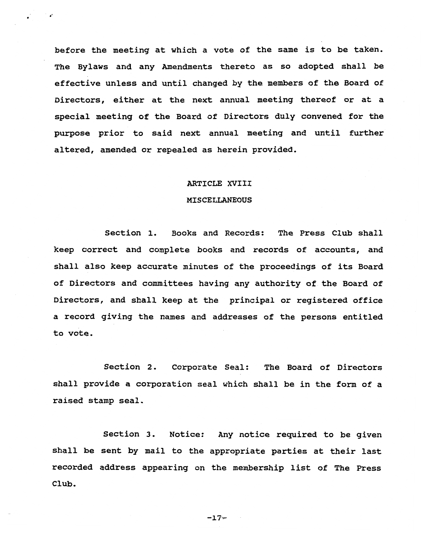before the meeting at which a vote of the same is to be taken. The Bylaws and any Amendments thereto as so adopted shall be effective unless and until changed by the members of the Board of Directors, either at the next annual meeting thereof or at a special meeting of the Board of Directors duly convened for the purpose prior to said next annual meeting and until further altered, amended or repealed as herein provided.

· ,~

## ARTICLE XVIII

# MISCELLANEOUS

Section 1. Books and Records: The Press Club shall keep correct and complete books and records of accounts, and shall also keep accurate minutes of the proceedings of its Board of Directors and committees having any authority of. the Board of Directors, and shall keep at the principal or registered office a record giving the names and addresses of the persons entitled to vote.

Section 2. Corporate Seal: The Board of Directors shall provide a corporation seal which shall be in the form of a raised stamp seal.

section 3. Notice: Any notice required to be given shall be sent by mail to the appropriate parties at their last recorded address appearing on the membership list of The Press Club.

-17~